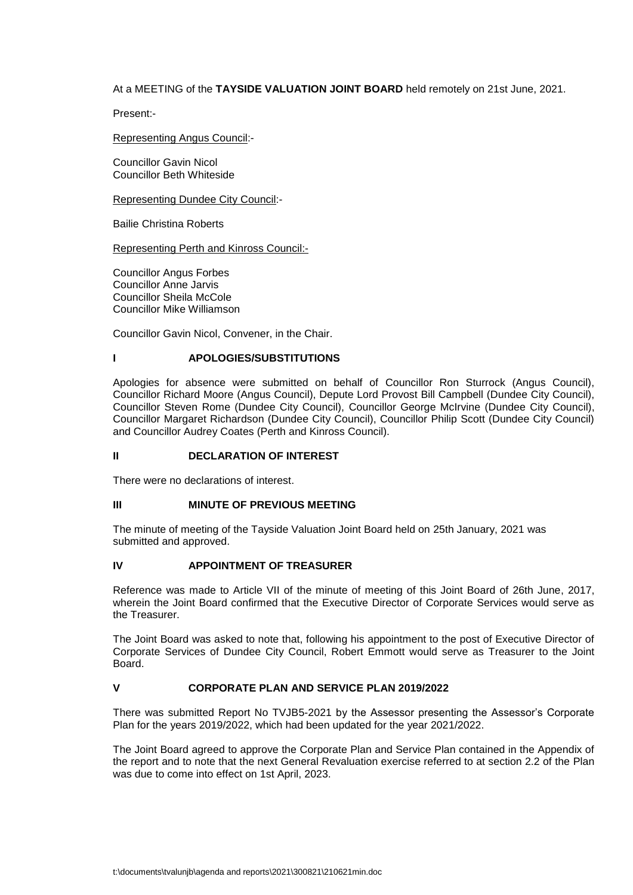## At a MEETING of the **TAYSIDE VALUATION JOINT BOARD** held remotely on 21st June, 2021.

Present:-

#### Representing Angus Council:-

Councillor Gavin Nicol Councillor Beth Whiteside

Representing Dundee City Council:-

Bailie Christina Roberts

Representing Perth and Kinross Council:-

Councillor Angus Forbes Councillor Anne Jarvis Councillor Sheila McCole Councillor Mike Williamson

Councillor Gavin Nicol, Convener, in the Chair.

## **I APOLOGIES/SUBSTITUTIONS**

Apologies for absence were submitted on behalf of Councillor Ron Sturrock (Angus Council), Councillor Richard Moore (Angus Council), Depute Lord Provost Bill Campbell (Dundee City Council), Councillor Steven Rome (Dundee City Council), Councillor George McIrvine (Dundee City Council), Councillor Margaret Richardson (Dundee City Council), Councillor Philip Scott (Dundee City Council) and Councillor Audrey Coates (Perth and Kinross Council).

#### **II DECLARATION OF INTEREST**

There were no declarations of interest.

#### **III MINUTE OF PREVIOUS MEETING**

The minute of meeting of the Tayside Valuation Joint Board held on 25th January, 2021 was submitted and approved.

#### **IV APPOINTMENT OF TREASURER**

Reference was made to Article VII of the minute of meeting of this Joint Board of 26th June, 2017, wherein the Joint Board confirmed that the Executive Director of Corporate Services would serve as the Treasurer.

The Joint Board was asked to note that, following his appointment to the post of Executive Director of Corporate Services of Dundee City Council, Robert Emmott would serve as Treasurer to the Joint **Board** 

# **V CORPORATE PLAN AND SERVICE PLAN 2019/2022**

There was submitted Report No TVJB5-2021 by the Assessor presenting the Assessor's Corporate Plan for the years 2019/2022, which had been updated for the year 2021/2022.

The Joint Board agreed to approve the Corporate Plan and Service Plan contained in the Appendix of the report and to note that the next General Revaluation exercise referred to at section 2.2 of the Plan was due to come into effect on 1st April, 2023.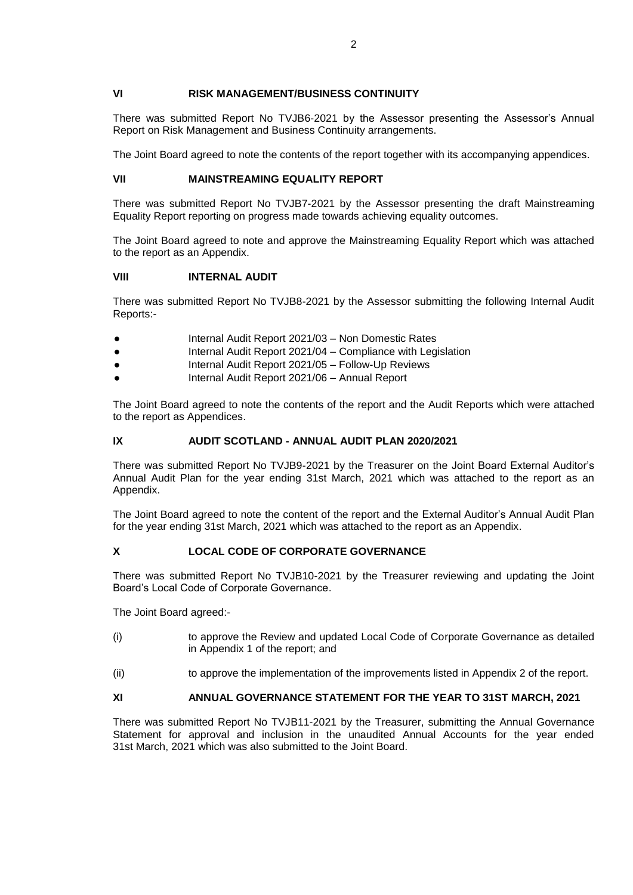## **VI RISK MANAGEMENT/BUSINESS CONTINUITY**

There was submitted Report No TVJB6-2021 by the Assessor presenting the Assessor's Annual Report on Risk Management and Business Continuity arrangements.

The Joint Board agreed to note the contents of the report together with its accompanying appendices.

# **VII MAINSTREAMING EQUALITY REPORT**

There was submitted Report No TVJB7-2021 by the Assessor presenting the draft Mainstreaming Equality Report reporting on progress made towards achieving equality outcomes.

The Joint Board agreed to note and approve the Mainstreaming Equality Report which was attached to the report as an Appendix.

## **VIII INTERNAL AUDIT**

There was submitted Report No TVJB8-2021 by the Assessor submitting the following Internal Audit Reports:-

- *●* Internal Audit Report 2021/03 Non Domestic Rates
- Internal Audit Report 2021/04 Compliance with Legislation
- *●* Internal Audit Report 2021/05 Follow-Up Reviews
- *●* Internal Audit Report 2021/06 Annual Report

The Joint Board agreed to note the contents of the report and the Audit Reports which were attached to the report as Appendices.

# **IX AUDIT SCOTLAND - ANNUAL AUDIT PLAN 2020/2021**

There was submitted Report No TVJB9-2021 by the Treasurer on the Joint Board External Auditor's Annual Audit Plan for the year ending 31st March, 2021 which was attached to the report as an Appendix.

The Joint Board agreed to note the content of the report and the External Auditor's Annual Audit Plan for the year ending 31st March, 2021 which was attached to the report as an Appendix.

# **X LOCAL CODE OF CORPORATE GOVERNANCE**

There was submitted Report No TVJB10-2021 by the Treasurer reviewing and updating the Joint Board's Local Code of Corporate Governance.

The Joint Board agreed:-

- (i) to approve the Review and updated Local Code of Corporate Governance as detailed in Appendix 1 of the report; and
- (ii) to approve the implementation of the improvements listed in Appendix 2 of the report.

# **XI ANNUAL GOVERNANCE STATEMENT FOR THE YEAR TO 31ST MARCH, 2021**

There was submitted Report No TVJB11-2021 by the Treasurer, submitting the Annual Governance Statement for approval and inclusion in the unaudited Annual Accounts for the year ended 31st March, 2021 which was also submitted to the Joint Board.